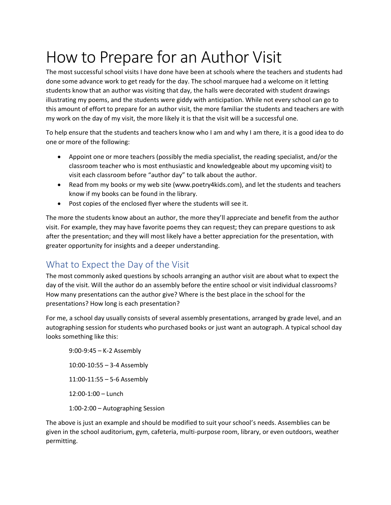# How to Prepare for an Author Visit

The most successful school visits I have done have been at schools where the teachers and students had done some advance work to get ready for the day. The school marquee had a welcome on it letting students know that an author was visiting that day, the halls were decorated with student drawings illustrating my poems, and the students were giddy with anticipation. While not every school can go to this amount of effort to prepare for an author visit, the more familiar the students and teachers are with my work on the day of my visit, the more likely it is that the visit will be a successful one.

To help ensure that the students and teachers know who I am and why I am there, it is a good idea to do one or more of the following:

- Appoint one or more teachers (possibly the media specialist, the reading specialist, and/or the classroom teacher who is most enthusiastic and knowledgeable about my upcoming visit) to visit each classroom before "author day" to talk about the author.
- Read from my books or my web site (www.poetry4kids.com), and let the students and teachers know if my books can be found in the library.
- Post copies of the enclosed flyer where the students will see it.

The more the students know about an author, the more they'll appreciate and benefit from the author visit. For example, they may have favorite poems they can request; they can prepare questions to ask after the presentation; and they will most likely have a better appreciation for the presentation, with greater opportunity for insights and a deeper understanding.

# What to Expect the Day of the Visit

The most commonly asked questions by schools arranging an author visit are about what to expect the day of the visit. Will the author do an assembly before the entire school or visit individual classrooms? How many presentations can the author give? Where is the best place in the school for the presentations? How long is each presentation?

For me, a school day usually consists of several assembly presentations, arranged by grade level, and an autographing session for students who purchased books or just want an autograph. A typical school day looks something like this:

9:00-9:45 – K-2 Assembly 10:00-10:55 – 3-4 Assembly 11:00-11:55 – 5-6 Assembly 12:00-1:00 – Lunch 1:00-2:00 – Autographing Session

The above is just an example and should be modified to suit your school's needs. Assemblies can be given in the school auditorium, gym, cafeteria, multi-purpose room, library, or even outdoors, weather permitting.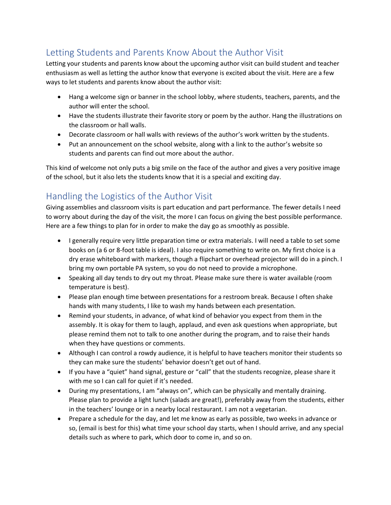# Letting Students and Parents Know About the Author Visit

Letting your students and parents know about the upcoming author visit can build student and teacher enthusiasm as well as letting the author know that everyone is excited about the visit. Here are a few ways to let students and parents know about the author visit:

- Hang a welcome sign or banner in the school lobby, where students, teachers, parents, and the author will enter the school.
- Have the students illustrate their favorite story or poem by the author. Hang the illustrations on the classroom or hall walls.
- Decorate classroom or hall walls with reviews of the author's work written by the students.
- Put an announcement on the school website, along with a link to the author's website so students and parents can find out more about the author.

This kind of welcome not only puts a big smile on the face of the author and gives a very positive image of the school, but it also lets the students know that it is a special and exciting day.

# Handling the Logistics of the Author Visit

Giving assemblies and classroom visits is part education and part performance. The fewer details I need to worry about during the day of the visit, the more I can focus on giving the best possible performance. Here are a few things to plan for in order to make the day go as smoothly as possible.

- I generally require very little preparation time or extra materials. I will need a table to set some books on (a 6 or 8-foot table is ideal). I also require something to write on. My first choice is a dry erase whiteboard with markers, though a flipchart or overhead projector will do in a pinch. I bring my own portable PA system, so you do not need to provide a microphone.
- Speaking all day tends to dry out my throat. Please make sure there is water available (room temperature is best).
- Please plan enough time between presentations for a restroom break. Because I often shake hands with many students, I like to wash my hands between each presentation.
- Remind your students, in advance, of what kind of behavior you expect from them in the assembly. It is okay for them to laugh, applaud, and even ask questions when appropriate, but please remind them not to talk to one another during the program, and to raise their hands when they have questions or comments.
- Although I can control a rowdy audience, it is helpful to have teachers monitor their students so they can make sure the students' behavior doesn't get out of hand.
- If you have a "quiet" hand signal, gesture or "call" that the students recognize, please share it with me so I can call for quiet if it's needed.
- During my presentations, I am "always on", which can be physically and mentally draining. Please plan to provide a light lunch (salads are great!), preferably away from the students, either in the teachers' lounge or in a nearby local restaurant. I am not a vegetarian.
- Prepare a schedule for the day, and let me know as early as possible, two weeks in advance or so, (email is best for this) what time your school day starts, when I should arrive, and any special details such as where to park, which door to come in, and so on.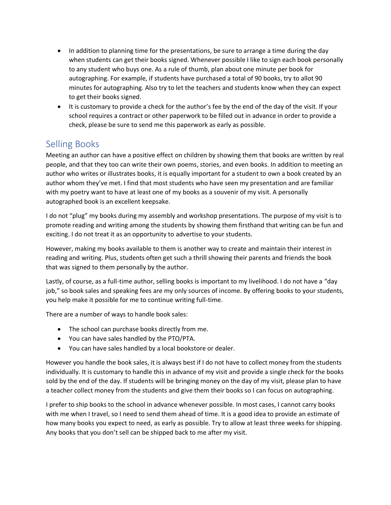- In addition to planning time for the presentations, be sure to arrange a time during the day when students can get their books signed. Whenever possible I like to sign each book personally to any student who buys one. As a rule of thumb, plan about one minute per book for autographing. For example, if students have purchased a total of 90 books, try to allot 90 minutes for autographing. Also try to let the teachers and students know when they can expect to get their books signed.
- It is customary to provide a check for the author's fee by the end of the day of the visit. If your school requires a contract or other paperwork to be filled out in advance in order to provide a check, please be sure to send me this paperwork as early as possible.

## Selling Books

Meeting an author can have a positive effect on children by showing them that books are written by real people, and that they too can write their own poems, stories, and even books. In addition to meeting an author who writes or illustrates books, it is equally important for a student to own a book created by an author whom they've met. I find that most students who have seen my presentation and are familiar with my poetry want to have at least one of my books as a souvenir of my visit. A personally autographed book is an excellent keepsake.

I do not "plug" my books during my assembly and workshop presentations. The purpose of my visit is to promote reading and writing among the students by showing them firsthand that writing can be fun and exciting. I do not treat it as an opportunity to advertise to your students.

However, making my books available to them is another way to create and maintain their interest in reading and writing. Plus, students often get such a thrill showing their parents and friends the book that was signed to them personally by the author.

Lastly, of course, as a full-time author, selling books is important to my livelihood. I do not have a "day job," so book sales and speaking fees are my only sources of income. By offering books to your students, you help make it possible for me to continue writing full-time.

There are a number of ways to handle book sales:

- The school can purchase books directly from me.
- You can have sales handled by the PTO/PTA.
- You can have sales handled by a local bookstore or dealer.

However you handle the book sales, it is always best if I do not have to collect money from the students individually. It is customary to handle this in advance of my visit and provide a single check for the books sold by the end of the day. If students will be bringing money on the day of my visit, please plan to have a teacher collect money from the students and give them their books so I can focus on autographing.

I prefer to ship books to the school in advance whenever possible. In most cases, I cannot carry books with me when I travel, so I need to send them ahead of time. It is a good idea to provide an estimate of how many books you expect to need, as early as possible. Try to allow at least three weeks for shipping. Any books that you don't sell can be shipped back to me after my visit.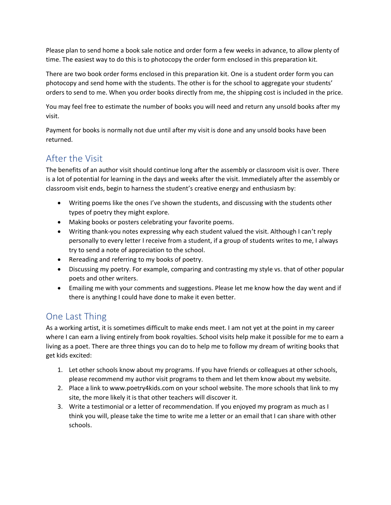Please plan to send home a book sale notice and order form a few weeks in advance, to allow plenty of time. The easiest way to do this is to photocopy the order form enclosed in this preparation kit.

There are two book order forms enclosed in this preparation kit. One is a student order form you can photocopy and send home with the students. The other is for the school to aggregate your students' orders to send to me. When you order books directly from me, the shipping cost is included in the price.

You may feel free to estimate the number of books you will need and return any unsold books after my visit.

Payment for books is normally not due until after my visit is done and any unsold books have been returned.

#### After the Visit

The benefits of an author visit should continue long after the assembly or classroom visit is over. There is a lot of potential for learning in the days and weeks after the visit. Immediately after the assembly or classroom visit ends, begin to harness the student's creative energy and enthusiasm by:

- Writing poems like the ones I've shown the students, and discussing with the students other types of poetry they might explore.
- Making books or posters celebrating your favorite poems.
- Writing thank-you notes expressing why each student valued the visit. Although I can't reply personally to every letter I receive from a student, if a group of students writes to me, I always try to send a note of appreciation to the school.
- Rereading and referring to my books of poetry.
- Discussing my poetry. For example, comparing and contrasting my style vs. that of other popular poets and other writers.
- Emailing me with your comments and suggestions. Please let me know how the day went and if there is anything I could have done to make it even better.

### One Last Thing

As a working artist, it is sometimes difficult to make ends meet. I am not yet at the point in my career where I can earn a living entirely from book royalties. School visits help make it possible for me to earn a living as a poet. There are three things you can do to help me to follow my dream of writing books that get kids excited:

- 1. Let other schools know about my programs. If you have friends or colleagues at other schools, please recommend my author visit programs to them and let them know about my website.
- 2. Place a link to www.poetry4kids.com on your school website. The more schools that link to my site, the more likely it is that other teachers will discover it.
- 3. Write a testimonial or a letter of recommendation. If you enjoyed my program as much as I think you will, please take the time to write me a letter or an email that I can share with other schools.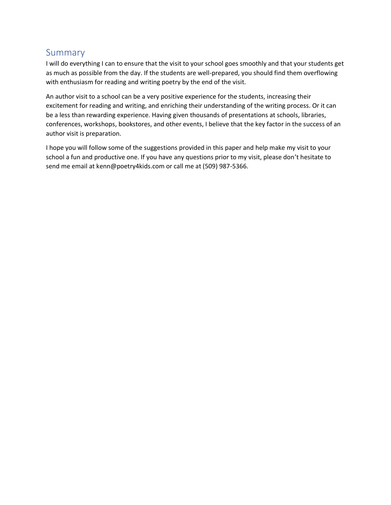#### Summary

I will do everything I can to ensure that the visit to your school goes smoothly and that your students get as much as possible from the day. If the students are well-prepared, you should find them overflowing with enthusiasm for reading and writing poetry by the end of the visit.

An author visit to a school can be a very positive experience for the students, increasing their excitement for reading and writing, and enriching their understanding of the writing process. Or it can be a less than rewarding experience. Having given thousands of presentations at schools, libraries, conferences, workshops, bookstores, and other events, I believe that the key factor in the success of an author visit is preparation.

I hope you will follow some of the suggestions provided in this paper and help make my visit to your school a fun and productive one. If you have any questions prior to my visit, please don't hesitate to send me email at kenn@poetry4kids.com or call me at (509) 987-5366.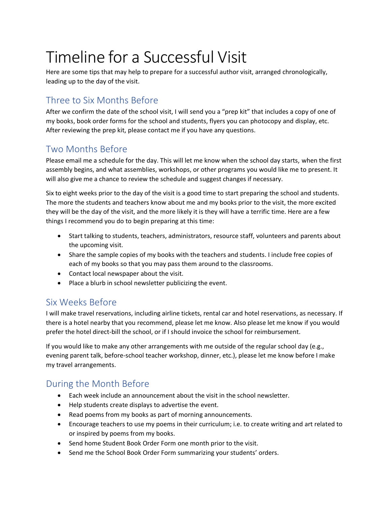# Timeline for a Successful Visit

Here are some tips that may help to prepare for a successful author visit, arranged chronologically, leading up to the day of the visit.

## Three to Six Months Before

After we confirm the date of the school visit, I will send you a "prep kit" that includes a copy of one of my books, book order forms for the school and students, flyers you can photocopy and display, etc. After reviewing the prep kit, please contact me if you have any questions.

## Two Months Before

Please email me a schedule for the day. This will let me know when the school day starts, when the first assembly begins, and what assemblies, workshops, or other programs you would like me to present. It will also give me a chance to review the schedule and suggest changes if necessary.

Six to eight weeks prior to the day of the visit is a good time to start preparing the school and students. The more the students and teachers know about me and my books prior to the visit, the more excited they will be the day of the visit, and the more likely it is they will have a terrific time. Here are a few things I recommend you do to begin preparing at this time:

- Start talking to students, teachers, administrators, resource staff, volunteers and parents about the upcoming visit.
- Share the sample copies of my books with the teachers and students. I include free copies of each of my books so that you may pass them around to the classrooms.
- Contact local newspaper about the visit.
- Place a blurb in school newsletter publicizing the event.

### Six Weeks Before

I will make travel reservations, including airline tickets, rental car and hotel reservations, as necessary. If there is a hotel nearby that you recommend, please let me know. Also please let me know if you would prefer the hotel direct-bill the school, or if I should invoice the school for reimbursement.

If you would like to make any other arrangements with me outside of the regular school day (e.g., evening parent talk, before-school teacher workshop, dinner, etc.), please let me know before I make my travel arrangements.

# During the Month Before

- Each week include an announcement about the visit in the school newsletter.
- Help students create displays to advertise the event.
- Read poems from my books as part of morning announcements.
- Encourage teachers to use my poems in their curriculum; i.e. to create writing and art related to or inspired by poems from my books.
- Send home Student Book Order Form one month prior to the visit.
- Send me the School Book Order Form summarizing your students' orders.